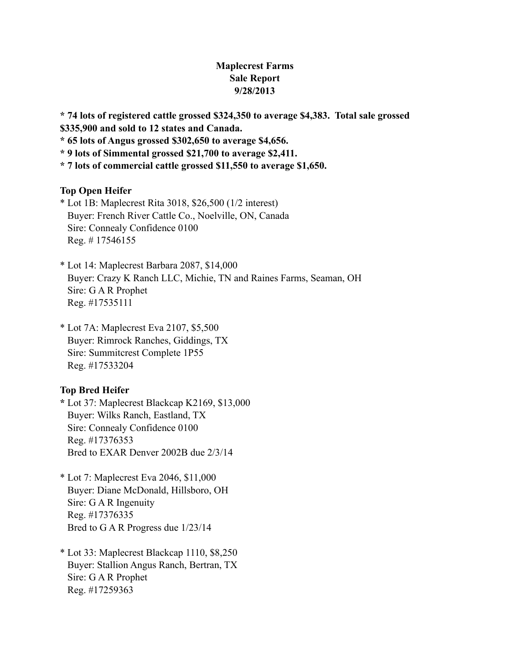# **Maplecrest Farms Sale Report 9/28/2013**

**\* 74 lots of registered cattle grossed \$324,350 to average \$4,383. Total sale grossed \$335,900 and sold to 12 states and Canada.**

**\* 65 lots of Angus grossed \$302,650 to average \$4,656.**

**\* 9 lots of Simmental grossed \$21,700 to average \$2,411.**

**\* 7 lots of commercial cattle grossed \$11,550 to average \$1,650.**

#### **Top Open Heifer**

\* Lot 1B: Maplecrest Rita 3018, \$26,500 (1/2 interest) Buyer: French River Cattle Co., Noelville, ON, Canada Sire: Connealy Confidence 0100 Reg. # 17546155

\* Lot 14: Maplecrest Barbara 2087, \$14,000 Buyer: Crazy K Ranch LLC, Michie, TN and Raines Farms, Seaman, OH Sire: G A R Prophet Reg. #17535111

\* Lot 7A: Maplecrest Eva 2107, \$5,500 Buyer: Rimrock Ranches, Giddings, TX Sire: Summitcrest Complete 1P55 Reg. #17533204

#### **Top Bred Heifer**

**\*** Lot 37: Maplecrest Blackcap K2169, \$13,000 Buyer: Wilks Ranch, Eastland, TX Sire: Connealy Confidence 0100 Reg. #17376353 Bred to EXAR Denver 2002B due 2/3/14

- \* Lot 7: Maplecrest Eva 2046, \$11,000 Buyer: Diane McDonald, Hillsboro, OH Sire: G A R Ingenuity Reg. #17376335 Bred to G A R Progress due 1/23/14
- \* Lot 33: Maplecrest Blackcap 1110, \$8,250 Buyer: Stallion Angus Ranch, Bertran, TX Sire: G A R Prophet Reg. #17259363